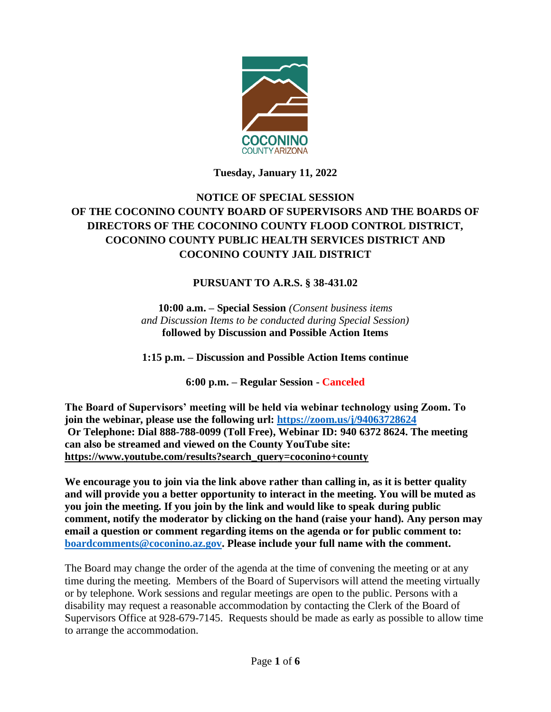

**Tuesday, January 11, 2022**

# **NOTICE OF SPECIAL SESSION OF THE COCONINO COUNTY BOARD OF SUPERVISORS AND THE BOARDS OF DIRECTORS OF THE COCONINO COUNTY FLOOD CONTROL DISTRICT, COCONINO COUNTY PUBLIC HEALTH SERVICES DISTRICT AND COCONINO COUNTY JAIL DISTRICT**

# **PURSUANT TO A.R.S. § 38-431.02**

**10:00 a.m. – Special Session** *(Consent business items and Discussion Items to be conducted during Special Session)* **followed by Discussion and Possible Action Items** 

**1:15 p.m. – Discussion and Possible Action Items continue**

**6:00 p.m. – Regular Session - Canceled**

**The Board of Supervisors' meeting will be held via webinar technology using Zoom. To join the webinar, please use the following url: <https://zoom.us/j/94063728624> Or Telephone: Dial 888-788-0099 (Toll Free), Webinar ID: 940 6372 8624. The meeting can also be streamed and viewed on the County YouTube site: [https://www.youtube.com/results?search\\_query=coconino+county](https://www.youtube.com/results?search_query=coconino+county)**

**We encourage you to join via the link above rather than calling in, as it is better quality and will provide you a better opportunity to interact in the meeting. You will be muted as you join the meeting. If you join by the link and would like to speak during public comment, notify the moderator by clicking on the hand (raise your hand). Any person may email a question or comment regarding items on the agenda or for public comment to: [boardcomments@coconino.az.gov.](mailto:boardcomments@coconino.az.gov) Please include your full name with the comment.** 

The Board may change the order of the agenda at the time of convening the meeting or at any time during the meeting. Members of the Board of Supervisors will attend the meeting virtually or by telephone. Work sessions and regular meetings are open to the public. Persons with a disability may request a reasonable accommodation by contacting the Clerk of the Board of Supervisors Office at 928-679-7145. Requests should be made as early as possible to allow time to arrange the accommodation.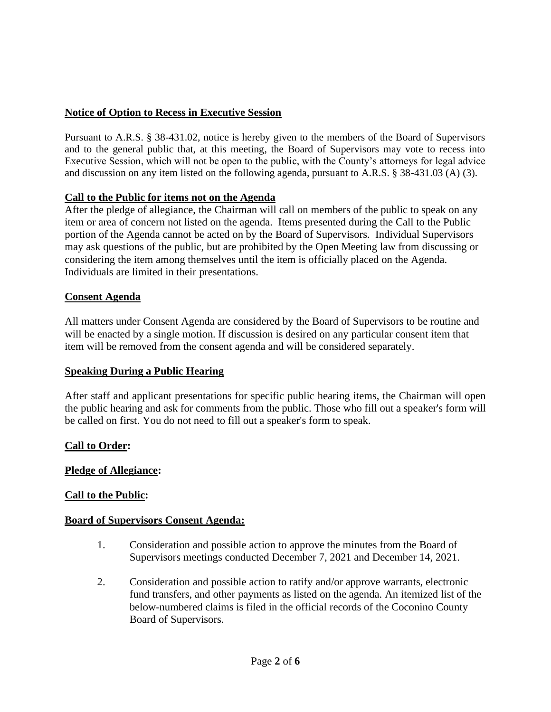# **Notice of Option to Recess in Executive Session**

Pursuant to A.R.S. § 38-431.02, notice is hereby given to the members of the Board of Supervisors and to the general public that, at this meeting, the Board of Supervisors may vote to recess into Executive Session, which will not be open to the public, with the County's attorneys for legal advice and discussion on any item listed on the following agenda, pursuant to A.R.S. § 38-431.03 (A) (3).

# **Call to the Public for items not on the Agenda**

After the pledge of allegiance, the Chairman will call on members of the public to speak on any item or area of concern not listed on the agenda. Items presented during the Call to the Public portion of the Agenda cannot be acted on by the Board of Supervisors. Individual Supervisors may ask questions of the public, but are prohibited by the Open Meeting law from discussing or considering the item among themselves until the item is officially placed on the Agenda. Individuals are limited in their presentations.

# **Consent Agenda**

All matters under Consent Agenda are considered by the Board of Supervisors to be routine and will be enacted by a single motion. If discussion is desired on any particular consent item that item will be removed from the consent agenda and will be considered separately.

# **Speaking During a Public Hearing**

After staff and applicant presentations for specific public hearing items, the Chairman will open the public hearing and ask for comments from the public. Those who fill out a speaker's form will be called on first. You do not need to fill out a speaker's form to speak.

# **Call to Order:**

# **Pledge of Allegiance:**

# **Call to the Public:**

# **Board of Supervisors Consent Agenda:**

- 1. Consideration and possible action to approve the minutes from the Board of Supervisors meetings conducted December 7, 2021 and December 14, 2021.
- 2. Consideration and possible action to ratify and/or approve warrants, electronic fund transfers, and other payments as listed on the agenda. An itemized list of the below-numbered claims is filed in the official records of the Coconino County Board of Supervisors.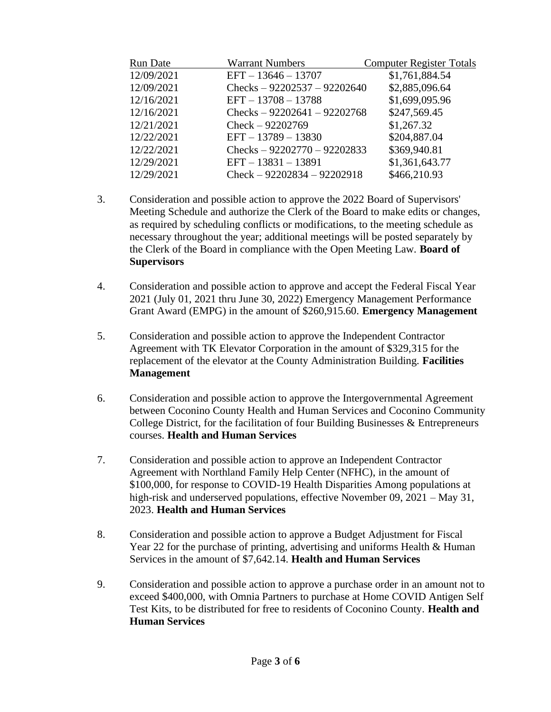| <b>Run Date</b> | <b>Warrant Numbers</b>        | <b>Computer Register Totals</b> |
|-----------------|-------------------------------|---------------------------------|
| 12/09/2021      | $EFT - 13646 - 13707$         | \$1,761,884.54                  |
| 12/09/2021      | Checks $-92202537 - 92202640$ | \$2,885,096.64                  |
| 12/16/2021      | $EFT - 13708 - 13788$         | \$1,699,095.96                  |
| 12/16/2021      | Checks $-92202641 - 92202768$ | \$247,569.45                    |
| 12/21/2021      | $Check - 92202769$            | \$1,267.32                      |
| 12/22/2021      | $EFT - 13789 - 13830$         | \$204,887.04                    |
| 12/22/2021      | Checks $-92202770 - 92202833$ | \$369,940.81                    |
| 12/29/2021      | $EFT - 13831 - 13891$         | \$1,361,643.77                  |
| 12/29/2021      | $Check - 92202834 - 92202918$ | \$466,210.93                    |

- 3. Consideration and possible action to approve the 2022 Board of Supervisors' Meeting Schedule and authorize the Clerk of the Board to make edits or changes, as required by scheduling conflicts or modifications, to the meeting schedule as necessary throughout the year; additional meetings will be posted separately by the Clerk of the Board in compliance with the Open Meeting Law. **Board of Supervisors**
- 4. Consideration and possible action to approve and accept the Federal Fiscal Year 2021 (July 01, 2021 thru June 30, 2022) Emergency Management Performance Grant Award (EMPG) in the amount of \$260,915.60. **Emergency Management**
- 5. Consideration and possible action to approve the Independent Contractor Agreement with TK Elevator Corporation in the amount of \$329,315 for the replacement of the elevator at the County Administration Building. **Facilities Management**
- 6. Consideration and possible action to approve the Intergovernmental Agreement between Coconino County Health and Human Services and Coconino Community College District, for the facilitation of four Building Businesses & Entrepreneurs courses. **Health and Human Services**
- 7. Consideration and possible action to approve an Independent Contractor Agreement with Northland Family Help Center (NFHC), in the amount of \$100,000, for response to COVID-19 Health Disparities Among populations at high-risk and underserved populations, effective November 09, 2021 – May 31, 2023. **Health and Human Services**
- 8. Consideration and possible action to approve a Budget Adjustment for Fiscal Year 22 for the purchase of printing, advertising and uniforms Health & Human Services in the amount of \$7,642.14. **Health and Human Services**
- 9. Consideration and possible action to approve a purchase order in an amount not to exceed \$400,000, with Omnia Partners to purchase at Home COVID Antigen Self Test Kits, to be distributed for free to residents of Coconino County. **Health and Human Services**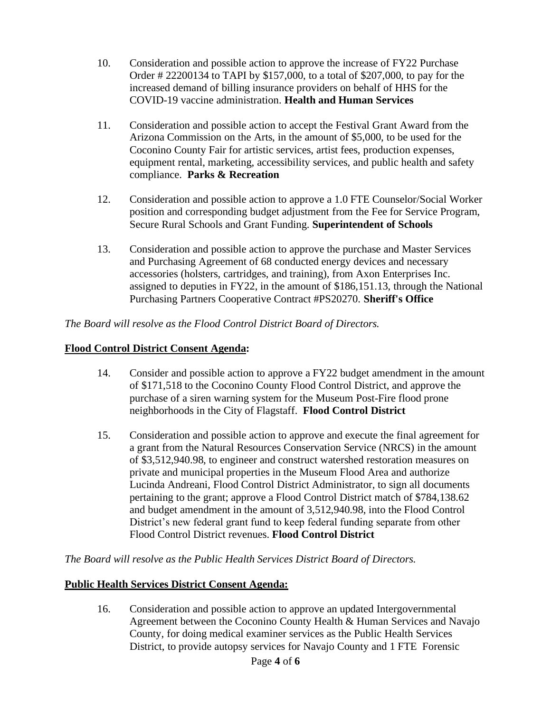- 10. Consideration and possible action to approve the increase of FY22 Purchase Order # 22200134 to TAPI by \$157,000, to a total of \$207,000, to pay for the increased demand of billing insurance providers on behalf of HHS for the COVID-19 vaccine administration. **Health and Human Services**
- 11. Consideration and possible action to accept the Festival Grant Award from the Arizona Commission on the Arts, in the amount of \$5,000, to be used for the Coconino County Fair for artistic services, artist fees, production expenses, equipment rental, marketing, accessibility services, and public health and safety compliance. **Parks & Recreation**
- 12. Consideration and possible action to approve a 1.0 FTE Counselor/Social Worker position and corresponding budget adjustment from the Fee for Service Program, Secure Rural Schools and Grant Funding. **Superintendent of Schools**
- 13. Consideration and possible action to approve the purchase and Master Services and Purchasing Agreement of 68 conducted energy devices and necessary accessories (holsters, cartridges, and training), from Axon Enterprises Inc. assigned to deputies in FY22, in the amount of \$186,151.13, through the National Purchasing Partners Cooperative Contract #PS20270. **Sheriff's Office**

# *The Board will resolve as the Flood Control District Board of Directors.*

# **Flood Control District Consent Agenda:**

- 14. Consider and possible action to approve a FY22 budget amendment in the amount of \$171,518 to the Coconino County Flood Control District, and approve the purchase of a siren warning system for the Museum Post-Fire flood prone neighborhoods in the City of Flagstaff. **Flood Control District**
- 15. Consideration and possible action to approve and execute the final agreement for a grant from the Natural Resources Conservation Service (NRCS) in the amount of \$3,512,940.98, to engineer and construct watershed restoration measures on private and municipal properties in the Museum Flood Area and authorize Lucinda Andreani, Flood Control District Administrator, to sign all documents pertaining to the grant; approve a Flood Control District match of \$784,138.62 and budget amendment in the amount of 3,512,940.98, into the Flood Control District's new federal grant fund to keep federal funding separate from other Flood Control District revenues. **Flood Control District**

*The Board will resolve as the Public Health Services District Board of Directors.*

# **Public Health Services District Consent Agenda:**

16. Consideration and possible action to approve an updated Intergovernmental Agreement between the Coconino County Health & Human Services and Navajo County, for doing medical examiner services as the Public Health Services District, to provide autopsy services for Navajo County and 1 FTE Forensic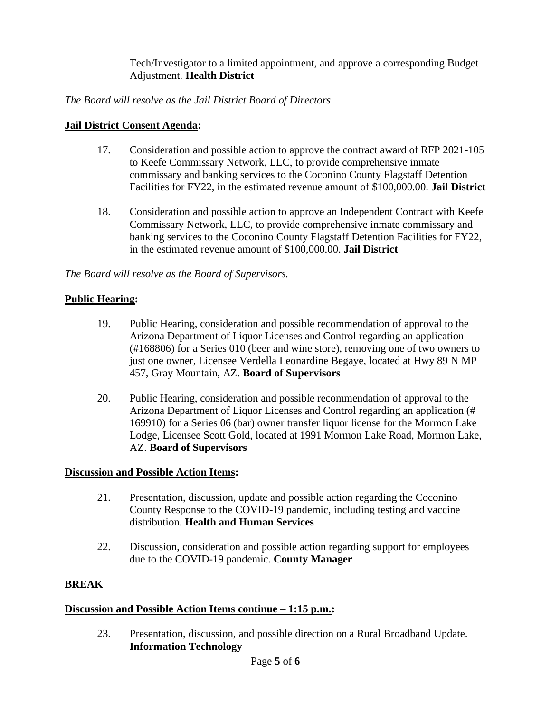Tech/Investigator to a limited appointment, and approve a corresponding Budget Adjustment. **Health District**

# *The Board will resolve as the Jail District Board of Directors*

# **Jail District Consent Agenda:**

- 17. Consideration and possible action to approve the contract award of RFP 2021-105 to Keefe Commissary Network, LLC, to provide comprehensive inmate commissary and banking services to the Coconino County Flagstaff Detention Facilities for FY22, in the estimated revenue amount of \$100,000.00. **Jail District**
- 18. Consideration and possible action to approve an Independent Contract with Keefe Commissary Network, LLC, to provide comprehensive inmate commissary and banking services to the Coconino County Flagstaff Detention Facilities for FY22, in the estimated revenue amount of \$100,000.00. **Jail District**

*The Board will resolve as the Board of Supervisors.*

# **Public Hearing:**

- 19. Public Hearing, consideration and possible recommendation of approval to the Arizona Department of Liquor Licenses and Control regarding an application (#168806) for a Series 010 (beer and wine store), removing one of two owners to just one owner, Licensee Verdella Leonardine Begaye, located at Hwy 89 N MP 457, Gray Mountain, AZ. **Board of Supervisors**
- 20. Public Hearing, consideration and possible recommendation of approval to the Arizona Department of Liquor Licenses and Control regarding an application (# 169910) for a Series 06 (bar) owner transfer liquor license for the Mormon Lake Lodge, Licensee Scott Gold, located at 1991 Mormon Lake Road, Mormon Lake, AZ. **Board of Supervisors**

# **Discussion and Possible Action Items:**

- 21. Presentation, discussion, update and possible action regarding the Coconino County Response to the COVID-19 pandemic, including testing and vaccine distribution. **Health and Human Services**
- 22. Discussion, consideration and possible action regarding support for employees due to the COVID-19 pandemic. **County Manager**

# **BREAK**

# **Discussion and Possible Action Items continue – 1:15 p.m.:**

23. Presentation, discussion, and possible direction on a Rural Broadband Update. **Information Technology**